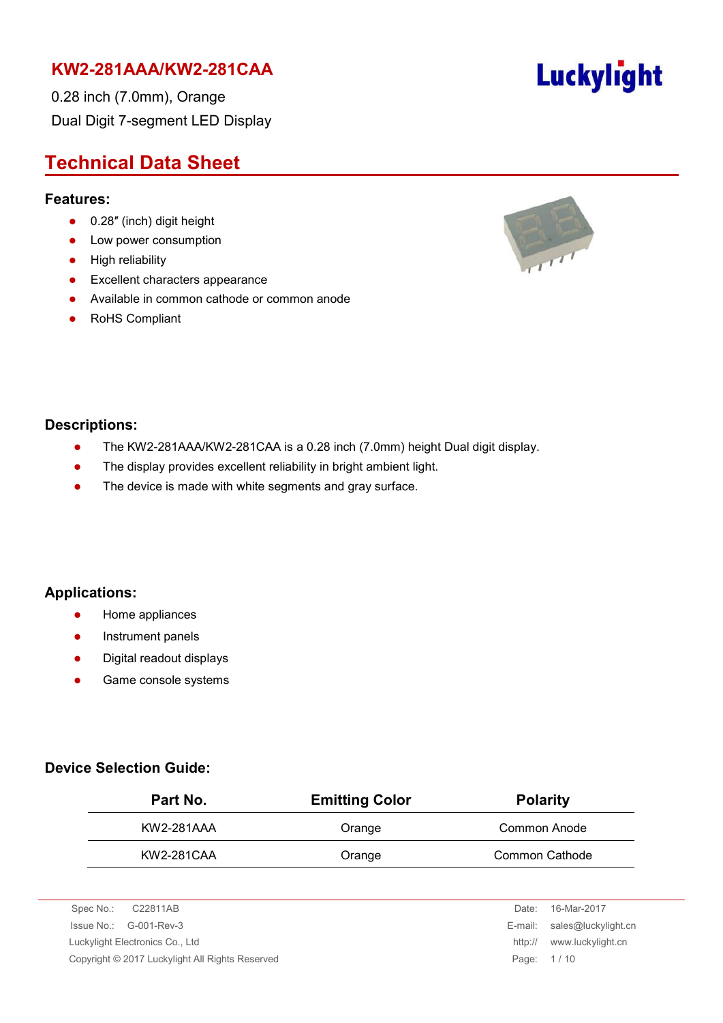0.28 inch (7.0mm), Orange Dual Digit 7-segment LED Display

# **Technical Data Sheet**

#### **Features:**

- 0.28" (inch) digit height
- Low power consumption
- **•** High reliability
- **•** Excellent characters appearance
- Available in common cathode or common anode
- RoHS Compliant



#### **Descriptions:**

- The KW2-281AAA/KW2-281CAA is a 0.28 inch (7.0mm) height Dual digit display.
- The display provides excellent reliability in bright ambient light.
- The device is made with white segments and gray surface.

#### **Applications:**

- **•** Home appliances
- **•** Instrument panels
- Digital readout displays
- **•** Game console systems

#### **Device Selection Guide:**

| Part No.   | <b>Emitting Color</b> | <b>Polarity</b> |
|------------|-----------------------|-----------------|
| KW2-281AAA | Orange                | Common Anode    |
| KW2-281CAA | Orange                | Common Cathode  |

| Spec No.:<br>C22811AB                           | Date:      | 16-Mar-2017                 |
|-------------------------------------------------|------------|-----------------------------|
| $\ssue No.: \, G-001-Rev-3$                     |            | E-mail: sales@luckylight.cn |
| Luckylight Electronics Co., Ltd                 | http://    | www.luckylight.cn           |
| Copyright © 2017 Luckylight All Rights Reserved | Page: 1/10 |                             |
|                                                 |            |                             |

# Luckylight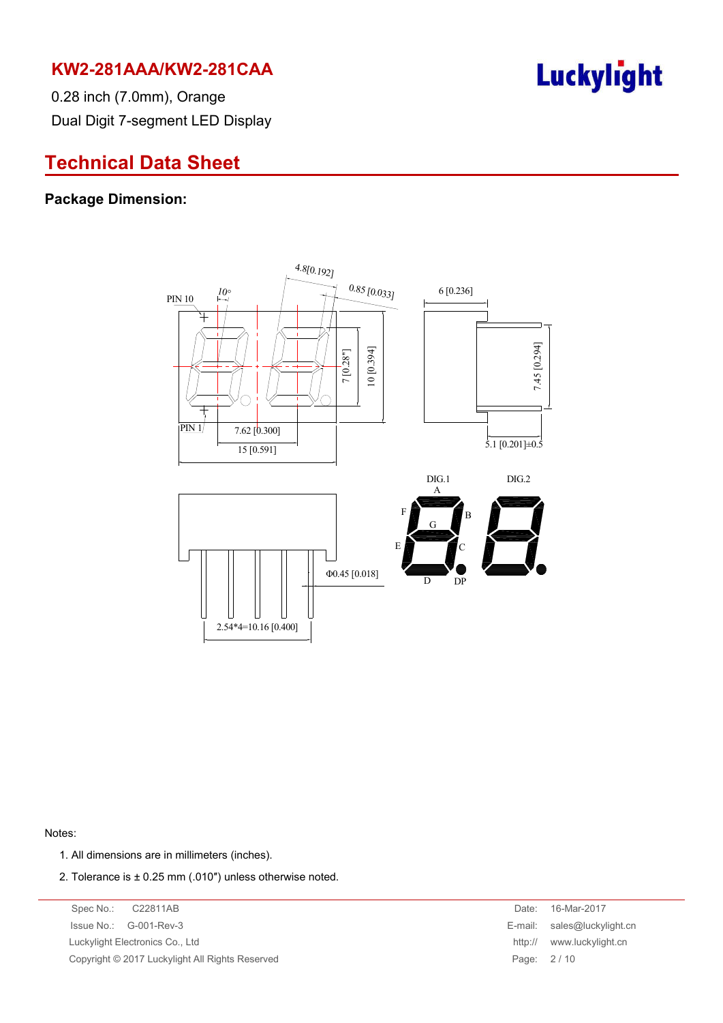

0.28 inch (7.0mm), Orange Dual Digit 7-segment LED Display

# **Technical Data Sheet**

#### **Package Dimension:**



Notes:

- 1. All dimensions are in millimeters (inches).
- 2. Tolerance is  $\pm$  0.25 mm (.010") unless otherwise noted.

Spec No.: C22811AB Date: 16-Mar-2017 Issue No.: G-001-Rev-3 E-mail: sales@luckylight.cn Luckylight Electronics Co., Ltd **http:// www.luckylight.cn** Copyright © 2017 Luckylight All Rights Reserved Page: 2 / 10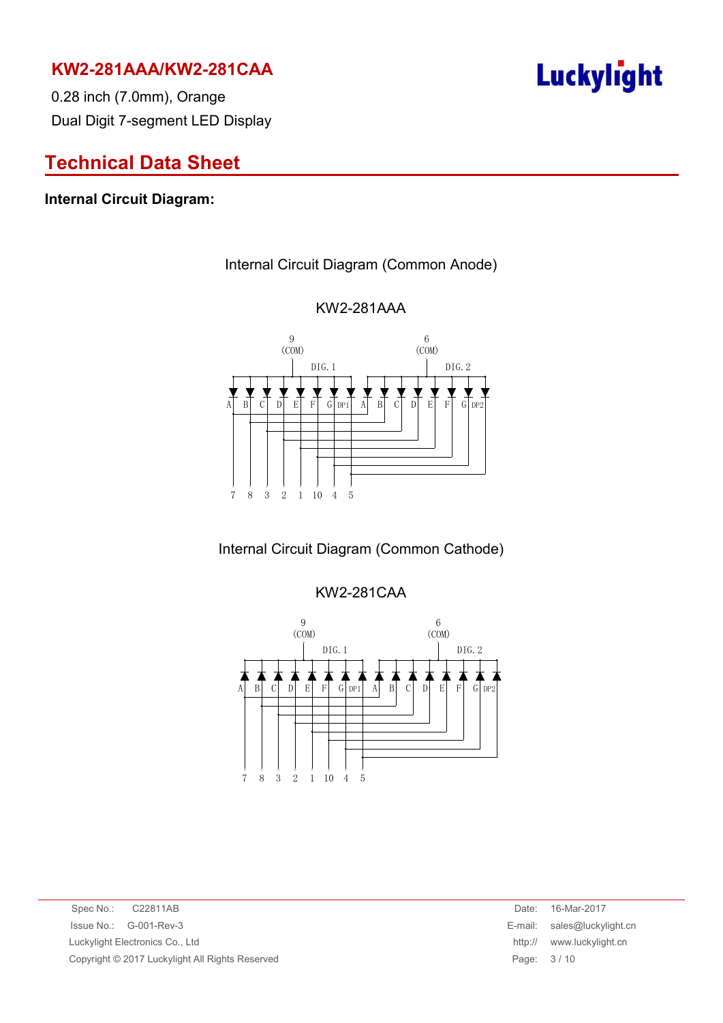0.28 inch (7.0mm), Orange Dual Digit 7-segment LED Display

# **Technical Data Sheet**

#### **Internal Circuit Diagram:**

#### Internal Circuit Diagram (Common Anode)



#### KW2-281AAA

# Internal Circuit Diagram (Common Cathode)

#### KW2-281CAA



Spec No.: C22811AB Date: 16-Mar-2017 Issue No.: G-001-Rev-3 E-mail: sales@luckylight.cn Luckylight Electronics Co., Ltd http:// www.luckylight.cn Copyright © 2017 Luckylight All Rights Reserved Page: 3 / 10

# Luckylight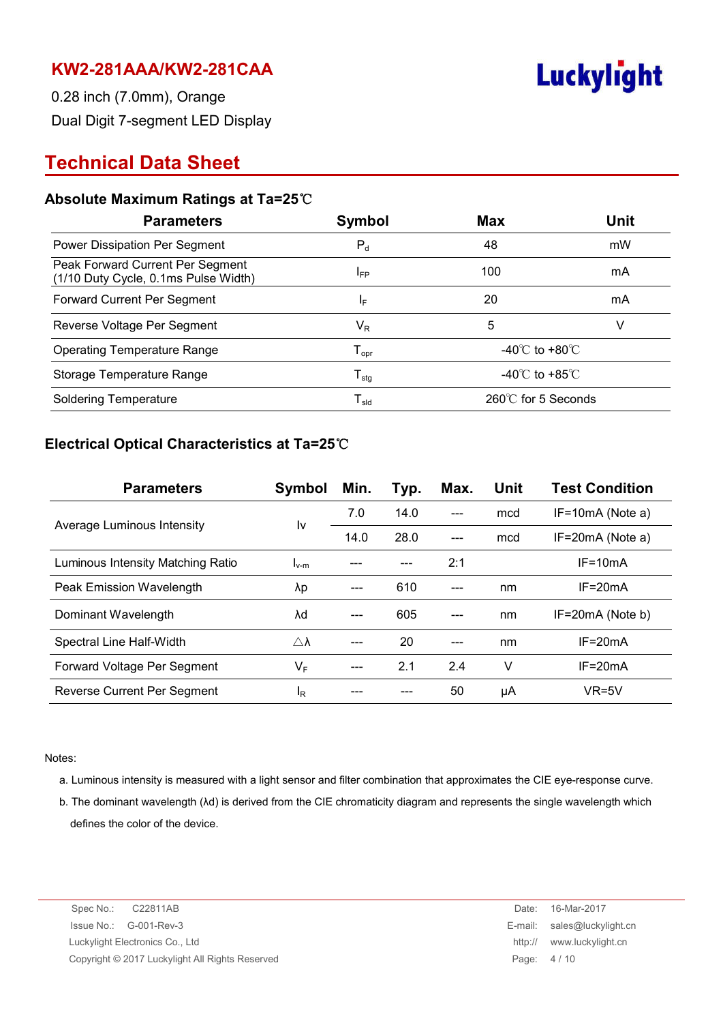

0.28 inch (7.0mm), Orange Dual Digit 7-segment LED Display

# **Technical Data Sheet**

#### **Absolute Maximum Ratings at Ta=25**℃

| <b>Parameters</b>                                                        | Symbol                       | <b>Max</b>                         | <b>Unit</b> |
|--------------------------------------------------------------------------|------------------------------|------------------------------------|-------------|
| Power Dissipation Per Segment                                            | $P_d$                        | 48                                 | mW          |
| Peak Forward Current Per Segment<br>(1/10 Duty Cycle, 0.1ms Pulse Width) | IFP                          | 100                                | mA          |
| Forward Current Per Segment                                              | IF.                          | 20                                 | mA          |
| Reverse Voltage Per Segment                                              | $\mathsf{V}_\mathsf{R}$      | 5                                  | V           |
| <b>Operating Temperature Range</b>                                       | ${\mathsf T}_{\mathsf{opr}}$ | -40 $\degree$ C to +80 $\degree$ C |             |
| Storage Temperature Range                                                | ${\mathsf T}_{\text{stg}}$   | -40 $\degree$ C to +85 $\degree$ C |             |
| <b>Soldering Temperature</b>                                             | $\mathsf{T}_{\mathsf{sld}}$  | 260℃ for 5 Seconds                 |             |

#### **Electrical Optical Characteristics at Ta=25**℃

| <b>Parameters</b>                 | Symbol              | Min. | Typ. | Max. | Unit | <b>Test Condition</b> |
|-----------------------------------|---------------------|------|------|------|------|-----------------------|
| Average Luminous Intensity        | I٧                  | 7.0  | 14.0 |      | mcd  | $IF=10mA$ (Note a)    |
|                                   |                     | 14.0 | 28.0 |      | mcd  | $IF=20mA$ (Note a)    |
| Luminous Intensity Matching Ratio | $I_{v-m}$           |      |      | 2:1  |      | $IF = 10mA$           |
| Peak Emission Wavelength          | λp                  |      | 610  |      | nm   | $IF = 20mA$           |
| Dominant Wavelength               | λd                  |      | 605  |      | nm   | IF=20mA (Note b)      |
| Spectral Line Half-Width          | $\triangle \lambda$ |      | 20   |      | nm   | $IF = 20mA$           |
| Forward Voltage Per Segment       | $V_F$               |      | 2.1  | 2.4  | v    | $IF = 20mA$           |
| Reverse Current Per Segment       | ΙŖ                  |      |      | 50   | μA   | $VR=5V$               |

Notes:

- a. Luminous intensity is measured with a light sensor and filter combination that approximates the CIE eye-response curve.
- b. The dominant wavelength (λd) is derived from the CIE chromaticity diagram and represents the single wavelength which defines the color of the device.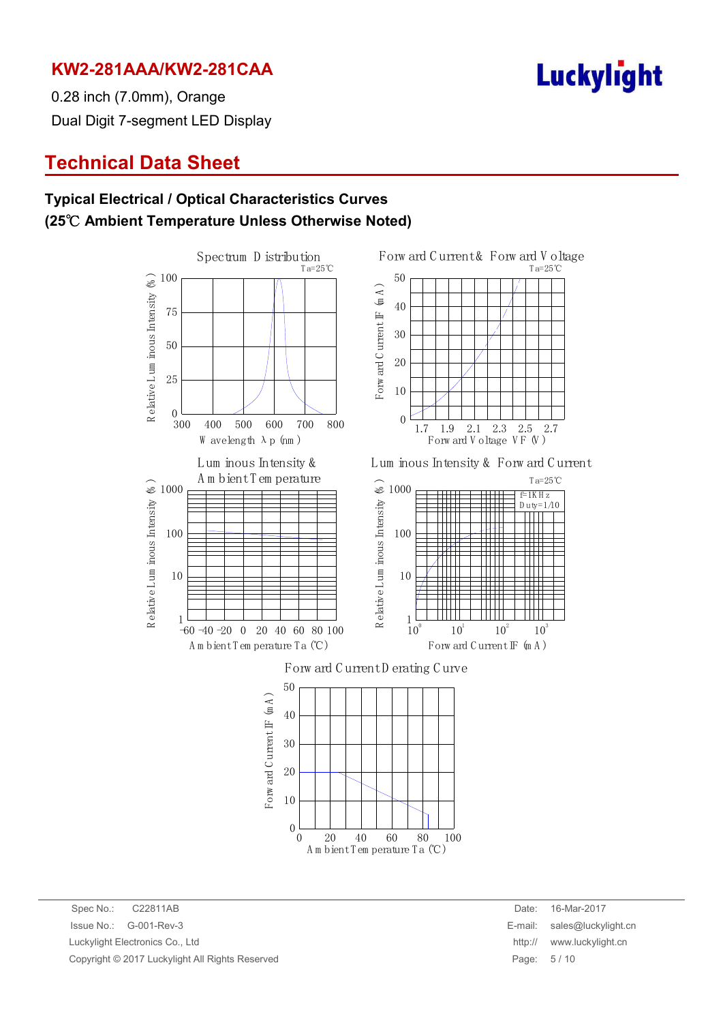

T a=25℃

103

 $f=1K H z$  $D$ uty= $1/10$ 

T a=25℃

2.7

0.28 inch (7.0mm), Orange Dual Digit 7-segment LED Display

# **Technical Data Sheet**

### **Typical Electrical / Optical Characteristics Curves (25**℃ **Ambient Temperature Unless Otherwise Noted)**



A m bient T em perature T a (℃)

Spec No.: C22811AB Date: 16-Mar-2017 Issue No.: G-001-Rev-3 E-mail: sales@luckylight.cn Luckylight Electronics Co., Ltd http:// www.luckylight.cn Copyright © 2017 Luckylight All Rights Reserved **Page: 5 / 10** Page: 5 / 10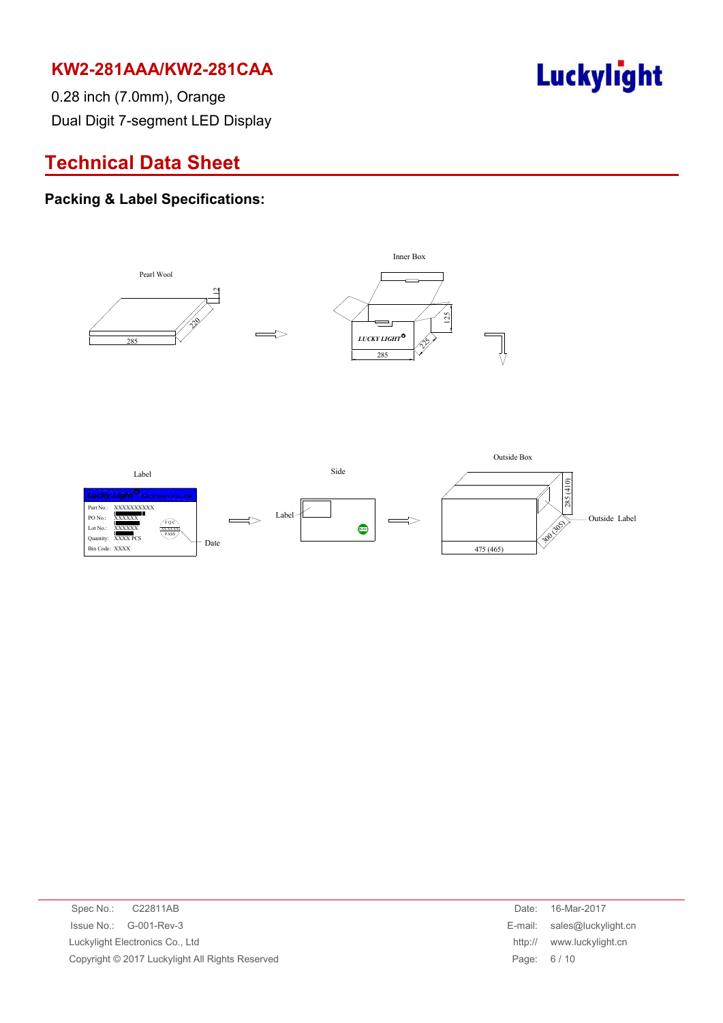

0.28 inch (7.0mm), Orange Dual Digit 7-segment LED Display

# **Technical Data Sheet**

#### **Packing & Label Specifications:**



| Spec No.: C22811AB                              | Date:      | 16-Mar-2017                 |
|-------------------------------------------------|------------|-----------------------------|
| $\ssue No.: \, G-001-Rev-3$                     |            | E-mail: sales@luckylight.cn |
| Luckylight Electronics Co., Ltd                 | http://    | www.luckylight.cn           |
| Copyright © 2017 Luckylight All Rights Reserved | Page: 6/10 |                             |
|                                                 |            |                             |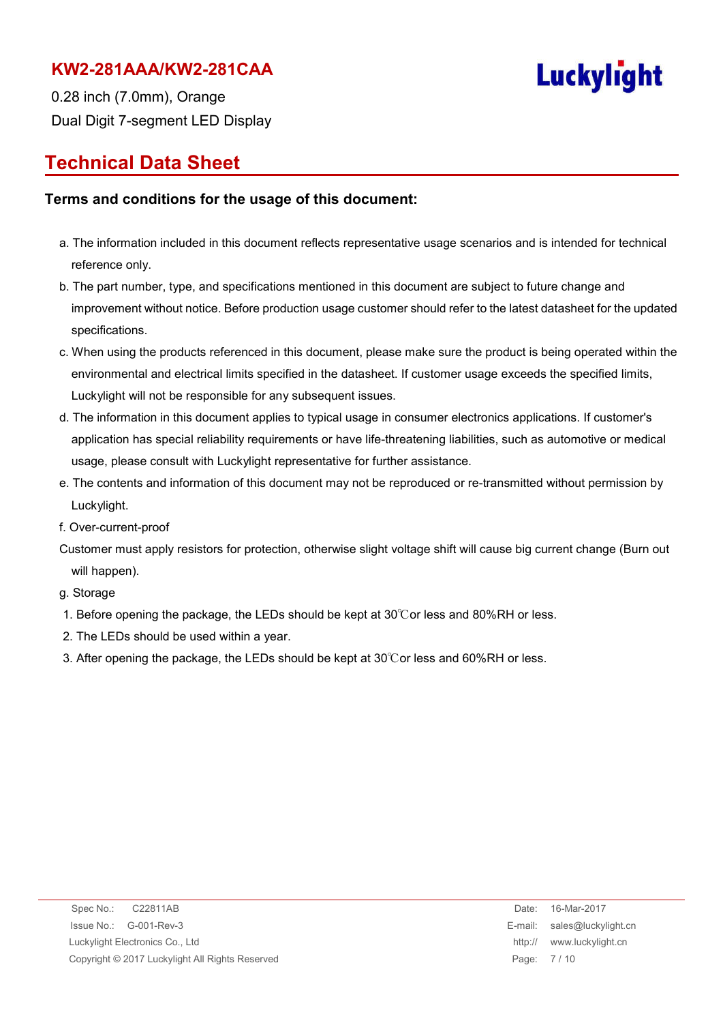

0.28 inch (7.0mm), Orange Dual Digit 7-segment LED Display

# **Technical Data Sheet**

#### **Terms and conditions for the usage of this document:**

- a. The information included in this document reflects representative usage scenarios and is intended for technical reference only.
- b. The part number, type, and specifications mentioned in this document are subject to future change and improvement without notice. Before production usage customer should refer to the latest datasheet for the updated specifications.
- c. When using the products referenced in this document, please make sure the product is being operated within the environmental and electrical limits specified in the datasheet. If customer usage exceeds the specified limits, Luckylight will not be responsible for any subsequent issues.
- d. The information in this document applies to typical usage in consumer electronics applications. If customer's application has special reliability requirements or have life-threatening liabilities, such as automotive or medical usage, please consult with Luckylight representative for further assistance.
- e. The contents and information of this document may not be reproduced or re-transmitted without permission by Luckylight.
- f. Over-current-proof
- Customer must apply resistors for protection, otherwise slight voltage shift will cause big current change (Burn out will happen).

g. Storage

- 1. Before opening the package, the LEDs should be kept at 30℃or less and 80%RH or less.
- 2. The LEDs should be used within a year.
- 3. After opening the package, the LEDs should be kept at 30℃or less and 60%RH or less.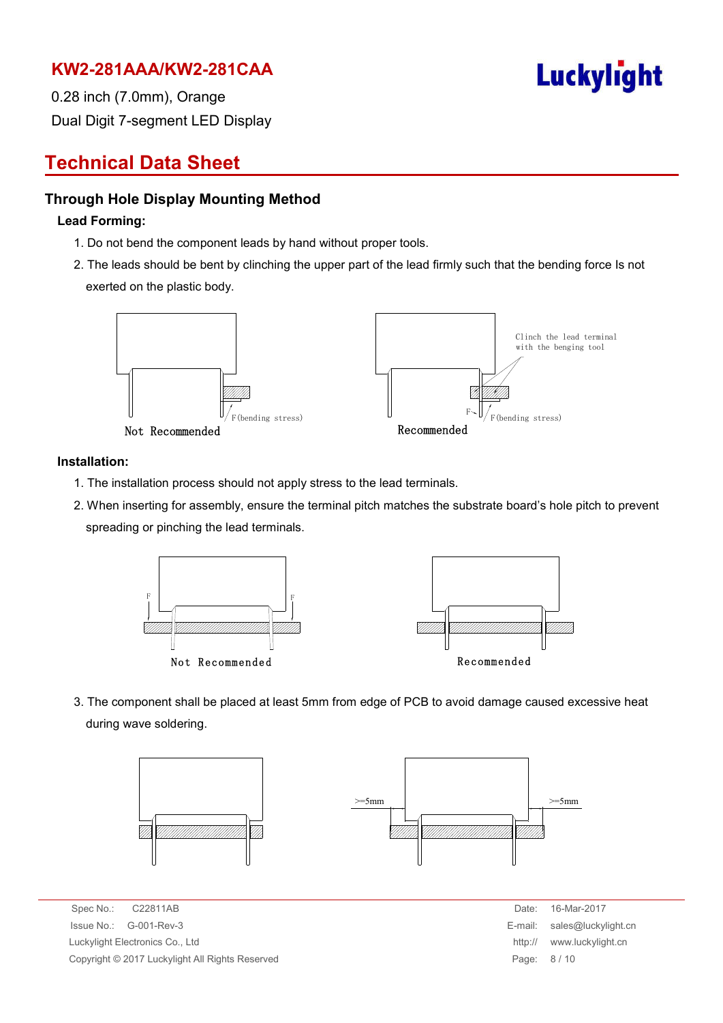

0.28 inch (7.0mm), Orange Dual Digit 7-segment LED Display

# **Technical Data Sheet**

#### **Through Hole Display Mounting Method**

#### **Lead Forming:**

- 1. Do not bend the component leads by hand without proper tools.
- 2. The leads should be bent by clinching the upper part of the lead firmly such that the bending force Is not exerted on the plastic body.



#### **Installation:**

- 1. The installation process should not apply stress to the lead terminals.
- 2. When inserting for assembly, ensure the terminal pitch matches the substrate board's hole pitch to prevent spreading or pinching the lead terminals.



3. The component shall be placed at least 5mm from edge of PCB to avoid damage caused excessive heat during wave soldering.



Spec No.: C22811AB Date: 16-Mar-2017  $Is sue No.: G-001-Rev-3$ Luckylight Electronics Co., Ltd. Copyright © 2017 Luckylight All Rights Reserved

| Date:   | 16-Mar-2017         |
|---------|---------------------|
| E-mail: | sales@luckylight.cn |
| http:// | www.luckylight.cn   |
| Page:   | 8/10                |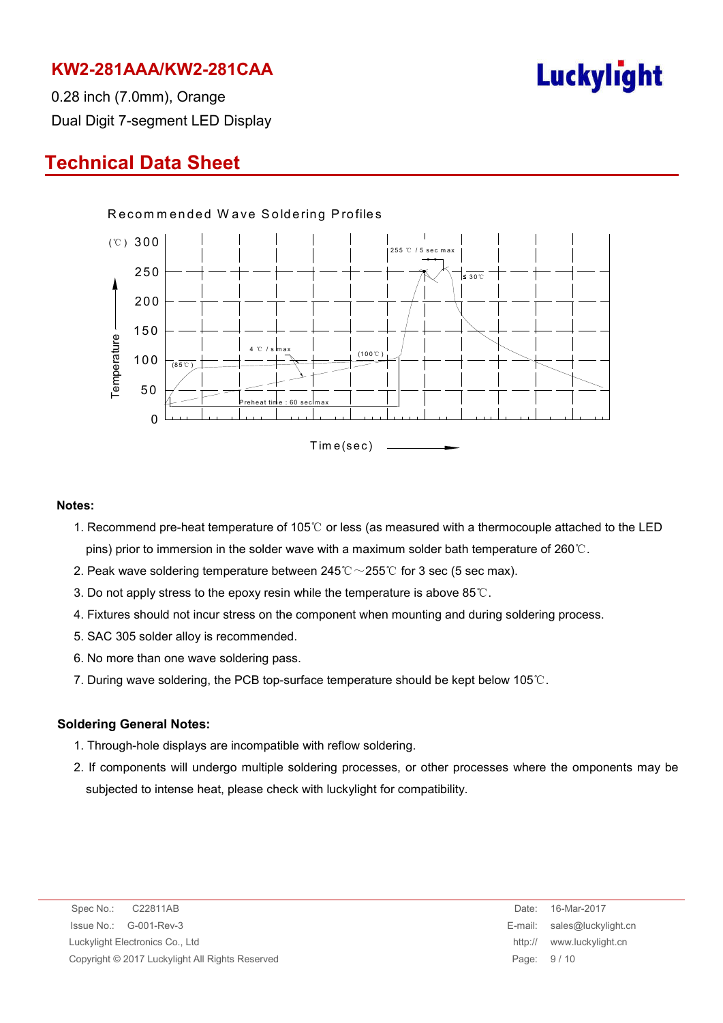

0.28 inch (7.0mm), Orange Dual Digit 7-segment LED Display

# **Technical Data Sheet**



#### **Notes:**

- 1. Recommend pre-heat temperature of 105℃ or less (as measured with a thermocouple attached to the LED pins) prior to immersion in the solder wave with a maximum solder bath temperature of 260℃.
- 2. Peak wave soldering temperature between  $245^{\circ}\text{C} \sim 255^{\circ}\text{C}$  for 3 sec (5 sec max).
- 3. Do not apply stress to the epoxy resin while the temperature is above 85℃.
- 4. Fixtures should not incur stress on the component when mounting and during soldering process.
- 5. SAC 305 solder alloy is recommended.
- 6. No more than one wave soldering pass.
- 7. During wave soldering, the PCB top-surface temperature should be kept below 105℃.

#### **Soldering General Notes:**

- 1. Through-hole displays are incompatible with reflow soldering.
- 2. If components will undergo multiple soldering processes, or other processes where the omponents may be subjected to intense heat, please check with luckylight for compatibility.